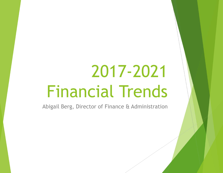# 2017-2021 Financial Trends

Abigail Berg, Director of Finance & Administration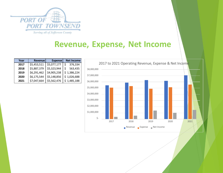

| Year | <b>Revenue</b> | <b>Expense</b> | <b>Net Income</b> |
|------|----------------|----------------|-------------------|
| 2017 | \$5,453,511    | \$5,077,177    | 376,334           |
| 2018 | \$5,887,379    | \$5,323,944    | 563,435           |
| 2019 | \$6,291,462    | \$4,905,238    | \$1,386,224       |
| 2020 | \$6,175,544    | \$5,148,856    | \$1,026,688       |
| 2021 | \$7,047,664    | \$5,562,476    | \$1,485,188       |

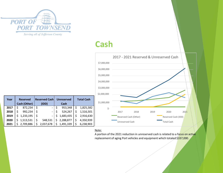

# Cash



|      |                               |                                             |                              |                   | \$7,000,000 |
|------|-------------------------------|---------------------------------------------|------------------------------|-------------------|-------------|
|      |                               |                                             |                              |                   | \$6,000,000 |
|      |                               |                                             |                              |                   | \$5,000,000 |
|      |                               |                                             |                              |                   | \$4,000,000 |
|      |                               |                                             |                              |                   | \$3,000,000 |
|      |                               |                                             |                              |                   | \$2,000,000 |
|      |                               |                                             |                              |                   |             |
| Year | <b>Reserved</b>               | <b>Reserved Cash</b>                        | <b>Unreserved</b>            | <b>Total Cash</b> | \$1,000,000 |
| 2017 | Cash (Other)<br>\$<br>872,234 | \$<br>(IDD)<br>$\qquad \qquad \blacksquare$ | \$<br><b>Cash</b><br>953,348 | \$<br>1,825,582   |             |
| 2018 | \$<br>992,234                 | \$<br>$\overline{\phantom{0}}$              | \$<br>524,267                | \$<br>1,516,501   | $\zeta$ -   |
| 2019 | \$<br>1,233,195               | \$                                          | \$<br>1,683,435              | \$<br>2,916,630   |             |
| 2020 | \$<br>1,513,531               | \$<br>548,531                               | \$<br>2,288,877              | \$<br>4,350,939   | Ė           |
| 2021 | \$<br>2,709,886               | \$<br>2,037,678                             | \$<br>1,491,339              | \$<br>6,238,903   |             |

## Note: